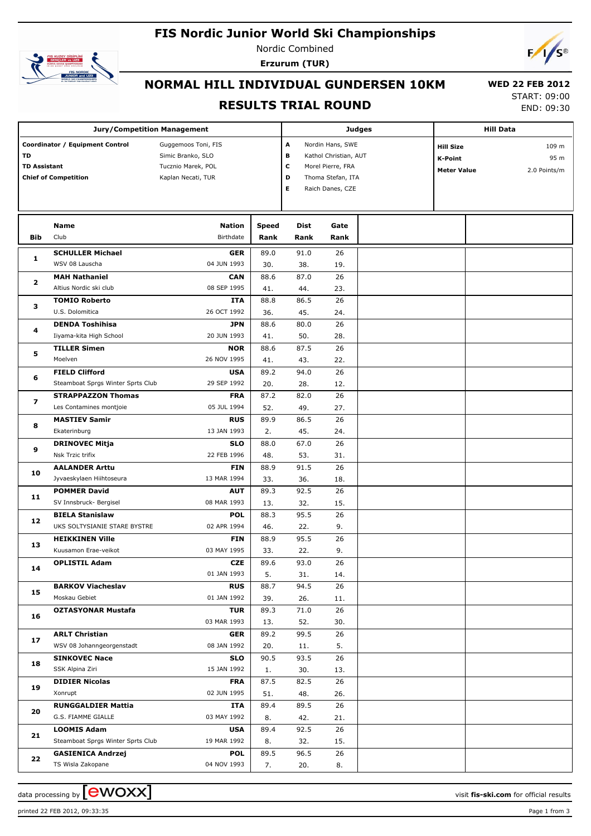# **FIS Nordic Junior World Ski Championships**



Nordic Combined **Erzurum (TUR)**



### **NORMAL HILL INDIVIDUAL GUNDERSEN 10KM**

#### **RESULTS TRIAL ROUND**

 **WED 22 FEB 2012** START: 09:00

END: 09:30

| <b>Jury/Competition Management</b>                                                          |                                               |                                                                                      |                       |                                                                                                         |          | Judges                                                                                    | <b>Hill Data</b> |  |  |
|---------------------------------------------------------------------------------------------|-----------------------------------------------|--------------------------------------------------------------------------------------|-----------------------|---------------------------------------------------------------------------------------------------------|----------|-------------------------------------------------------------------------------------------|------------------|--|--|
| Coordinator / Equipment Control<br>TD<br><b>TD Assistant</b><br><b>Chief of Competition</b> |                                               | Guggemoos Toni, FIS<br>Simic Branko, SLO<br>Tucznio Marek, POL<br>Kaplan Necati, TUR | Α<br>в<br>C<br>D<br>Е | Nordin Hans, SWE<br>Kathol Christian, AUT<br>Morel Pierre, FRA<br>Thoma Stefan, ITA<br>Raich Danes, CZE |          | <b>Hill Size</b><br>109 m<br><b>K-Point</b><br>95 m<br><b>Meter Value</b><br>2.0 Points/m |                  |  |  |
|                                                                                             |                                               |                                                                                      |                       |                                                                                                         |          |                                                                                           |                  |  |  |
|                                                                                             | Name                                          | <b>Nation</b>                                                                        | Speed                 | Dist                                                                                                    | Gate     |                                                                                           |                  |  |  |
| Bib                                                                                         | Club                                          | Birthdate                                                                            | Rank                  | Rank                                                                                                    | Rank     |                                                                                           |                  |  |  |
|                                                                                             | <b>SCHULLER Michael</b>                       | <b>GER</b>                                                                           | 89.0                  | 91.0                                                                                                    | 26       |                                                                                           |                  |  |  |
| 1                                                                                           | WSV 08 Lauscha                                | 04 JUN 1993                                                                          | 30.                   | 38.                                                                                                     | 19.      |                                                                                           |                  |  |  |
|                                                                                             | <b>MAH Nathaniel</b>                          | CAN                                                                                  | 88.6                  | 87.0                                                                                                    | 26       |                                                                                           |                  |  |  |
| 2                                                                                           | Altius Nordic ski club                        | 08 SEP 1995                                                                          | 41.                   | 44.                                                                                                     | 23.      |                                                                                           |                  |  |  |
|                                                                                             | <b>TOMIO Roberto</b>                          | <b>ITA</b>                                                                           | 88.8                  | 86.5                                                                                                    | 26       |                                                                                           |                  |  |  |
| з                                                                                           | U.S. Dolomitica                               | 26 OCT 1992                                                                          | 36.                   | 45.                                                                                                     | 24.      |                                                                                           |                  |  |  |
|                                                                                             | <b>DENDA Toshihisa</b>                        | <b>JPN</b>                                                                           | 88.6                  | 80.0                                                                                                    | 26       |                                                                                           |                  |  |  |
| 4                                                                                           | Iiyama-kita High School                       | 20 JUN 1993                                                                          | 41.                   | 50.                                                                                                     | 28.      |                                                                                           |                  |  |  |
|                                                                                             | <b>TILLER Simen</b>                           | <b>NOR</b>                                                                           | 88.6                  | 87.5                                                                                                    | 26       |                                                                                           |                  |  |  |
| 5                                                                                           | Moelven                                       | 26 NOV 1995                                                                          | 41.                   | 43.                                                                                                     | 22.      |                                                                                           |                  |  |  |
|                                                                                             | <b>FIELD Clifford</b>                         | <b>USA</b>                                                                           | 89.2                  | 94.0                                                                                                    | 26       |                                                                                           |                  |  |  |
| 6                                                                                           | Steamboat Sprgs Winter Sprts Club             | 29 SEP 1992                                                                          | 20.                   | 28.                                                                                                     | 12.      |                                                                                           |                  |  |  |
|                                                                                             | <b>STRAPPAZZON Thomas</b>                     | <b>FRA</b>                                                                           | 87.2                  | 82.0                                                                                                    | 26       |                                                                                           |                  |  |  |
| 7<br>8                                                                                      | Les Contamines montjoie                       | 05 JUL 1994                                                                          | 52.                   | 49.                                                                                                     | 27.      |                                                                                           |                  |  |  |
|                                                                                             | <b>MASTIEV Samir</b>                          | <b>RUS</b>                                                                           | 89.9                  | 86.5                                                                                                    | 26       |                                                                                           |                  |  |  |
|                                                                                             | Ekaterinburg                                  | 13 JAN 1993                                                                          | 2.                    | 45.                                                                                                     | 24.      |                                                                                           |                  |  |  |
| 9                                                                                           | <b>DRINOVEC Mitja</b>                         | <b>SLO</b>                                                                           | 88.0                  | 67.0                                                                                                    | 26       |                                                                                           |                  |  |  |
|                                                                                             | Nsk Trzic trifix                              | 22 FEB 1996                                                                          | 48.                   | 53.                                                                                                     | 31.      |                                                                                           |                  |  |  |
|                                                                                             | <b>AALANDER Arttu</b>                         | <b>FIN</b>                                                                           | 88.9                  | 91.5                                                                                                    | 26       |                                                                                           |                  |  |  |
| 10                                                                                          | Jyvaeskylaen Hiihtoseura                      | 13 MAR 1994                                                                          | 33.                   | 36.                                                                                                     | 18.      |                                                                                           |                  |  |  |
|                                                                                             | <b>POMMER David</b>                           | <b>AUT</b>                                                                           | 89.3                  | 92.5                                                                                                    | 26       |                                                                                           |                  |  |  |
| 11                                                                                          | SV Innsbruck- Bergisel                        | 08 MAR 1993                                                                          | 13.                   | 32.                                                                                                     | 15.      |                                                                                           |                  |  |  |
|                                                                                             | <b>BIELA Stanislaw</b>                        | <b>POL</b>                                                                           | 88.3                  | 95.5                                                                                                    | 26       |                                                                                           |                  |  |  |
| 12                                                                                          | UKS SOLTYSIANIE STARE BYSTRE                  | 02 APR 1994                                                                          | 46.                   | 22.                                                                                                     | 9.       |                                                                                           |                  |  |  |
|                                                                                             | <b>HEIKKINEN Ville</b>                        | <b>FIN</b>                                                                           | 88.9                  | 95.5                                                                                                    | 26       |                                                                                           |                  |  |  |
| 13                                                                                          | Kuusamon Erae-veikot                          | 03 MAY 1995                                                                          | 33.                   | 22.                                                                                                     | 9.       |                                                                                           |                  |  |  |
| 14                                                                                          | <b>OPLISTIL Adam</b>                          | <b>CZE</b>                                                                           | 89.6                  | 93.0                                                                                                    | 26       |                                                                                           |                  |  |  |
|                                                                                             |                                               | 01 JAN 1993                                                                          | 5.                    | 31.                                                                                                     | 14.      |                                                                                           |                  |  |  |
| 15                                                                                          | <b>BARKOV Viacheslav</b>                      | <b>RUS</b>                                                                           | 88.7                  | 94.5                                                                                                    | 26       |                                                                                           |                  |  |  |
|                                                                                             | Moskau Gebiet                                 | 01 JAN 1992                                                                          | 39.                   | 26.                                                                                                     | 11.      |                                                                                           |                  |  |  |
| 16                                                                                          | <b>OZTASYONAR Mustafa</b>                     | <b>TUR</b>                                                                           | 89.3                  | 71.0                                                                                                    | 26       |                                                                                           |                  |  |  |
|                                                                                             |                                               | 03 MAR 1993                                                                          | 13.                   | 52.                                                                                                     | 30.      |                                                                                           |                  |  |  |
| 17                                                                                          | <b>ARLT Christian</b>                         | <b>GER</b>                                                                           | 89.2                  | 99.5                                                                                                    | 26       |                                                                                           |                  |  |  |
|                                                                                             | WSV 08 Johanngeorgenstadt                     | 08 JAN 1992                                                                          | 20.                   | 11.                                                                                                     | 5.       |                                                                                           |                  |  |  |
| 18                                                                                          | <b>SINKOVEC Nace</b>                          | <b>SLO</b>                                                                           | 90.5                  | 93.5                                                                                                    | 26       |                                                                                           |                  |  |  |
|                                                                                             | SSK Alpina Ziri                               | 15 JAN 1992                                                                          | 1.                    | 30.                                                                                                     | 13.      |                                                                                           |                  |  |  |
| 19                                                                                          | <b>DIDIER Nicolas</b>                         | <b>FRA</b>                                                                           | 87.5                  | 82.5                                                                                                    | 26       |                                                                                           |                  |  |  |
|                                                                                             | Xonrupt                                       | 02 JUN 1995                                                                          | 51.                   | 48.                                                                                                     | 26.      |                                                                                           |                  |  |  |
| 20                                                                                          | <b>RUNGGALDIER Mattia</b>                     | ITA                                                                                  | 89.4                  | 89.5                                                                                                    | 26       |                                                                                           |                  |  |  |
|                                                                                             | G.S. FIAMME GIALLE                            | 03 MAY 1992                                                                          | 8.                    | 42.                                                                                                     | 21.      |                                                                                           |                  |  |  |
| 21                                                                                          | <b>LOOMIS Adam</b>                            | <b>USA</b>                                                                           | 89.4                  | 92.5                                                                                                    | 26       |                                                                                           |                  |  |  |
|                                                                                             | Steamboat Sprgs Winter Sprts Club             | 19 MAR 1992                                                                          | 8.                    | 32.                                                                                                     | 15.      |                                                                                           |                  |  |  |
| 22                                                                                          | <b>GASIENICA Andrzej</b><br>TS Wisla Zakopane | <b>POL</b><br>04 NOV 1993                                                            | 89.5<br>7.            | 96.5                                                                                                    | 26<br>8. |                                                                                           |                  |  |  |
|                                                                                             |                                               |                                                                                      |                       | 20.                                                                                                     |          |                                                                                           |                  |  |  |

printed 22 FEB 2012, 09:33:35 Page 1 from 3

data processing by **CWOXX**  $\blacksquare$  and  $\blacksquare$  and  $\blacksquare$  and  $\blacksquare$  and  $\blacksquare$  and  $\blacksquare$  and  $\blacksquare$  and  $\blacksquare$  and  $\blacksquare$  and  $\blacksquare$  and  $\blacksquare$  and  $\blacksquare$  and  $\blacksquare$  and  $\blacksquare$  and  $\blacksquare$  and  $\blacksquare$  and  $\blacksquare$  and  $\blacksquare$  a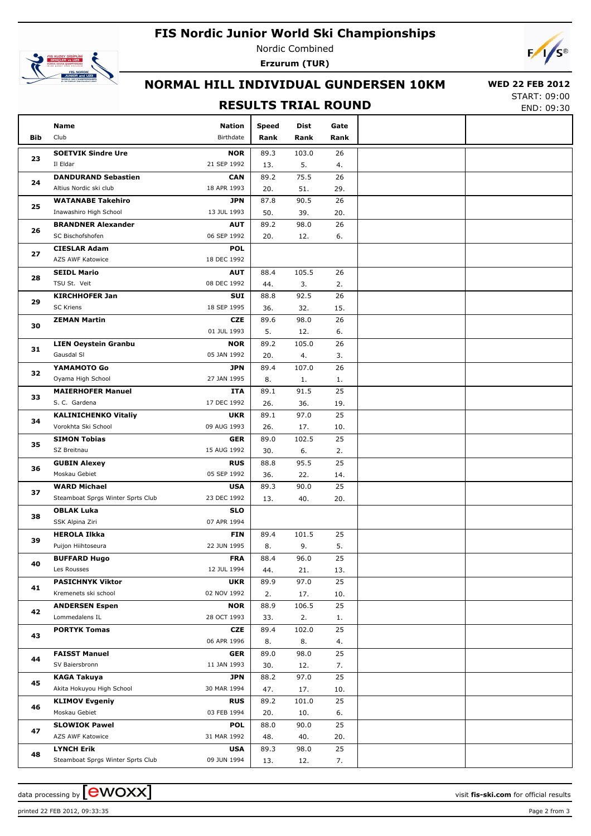## **FIS Nordic Junior World Ski Championships**



Nordic Combined **Erzurum (TUR)**



### **NORMAL HILL INDIVIDUAL GUNDERSEN 10KM**

#### **RESULTS TRIAL ROUND**

 **WED 22 FEB 2012** START: 09:00

END: 09:30

|     | Name                                                 | <b>Nation</b>             | <b>Speed</b> | Dist        | Gate      |  |
|-----|------------------------------------------------------|---------------------------|--------------|-------------|-----------|--|
| Bib | Club                                                 | Birthdate                 | Rank         | Rank        | Rank      |  |
|     |                                                      |                           |              |             |           |  |
| 23  | <b>SOETVIK Sindre Ure</b>                            | <b>NOR</b>                | 89.3         | 103.0       | 26        |  |
|     | Il Eldar                                             | 21 SEP 1992               | 13.          | 5.          | 4.        |  |
| 24  | <b>DANDURAND Sebastien</b><br>Altius Nordic ski club | <b>CAN</b><br>18 APR 1993 | 89.2         | 75.5        | 26<br>29. |  |
|     | <b>WATANABE Takehiro</b>                             | <b>JPN</b>                | 20.<br>87.8  | 51.<br>90.5 | 26        |  |
| 25  | Inawashiro High School                               | 13 JUL 1993               | 50.          | 39.         | 20.       |  |
|     | <b>BRANDNER Alexander</b>                            | <b>AUT</b>                | 89.2         | 98.0        | 26        |  |
| 26  | SC Bischofshofen                                     | 06 SEP 1992               | 20.          | 12.         | 6.        |  |
|     | <b>CIESLAR Adam</b>                                  | <b>POL</b>                |              |             |           |  |
| 27  | AZS AWF Katowice                                     | 18 DEC 1992               |              |             |           |  |
|     | <b>SEIDL Mario</b>                                   | <b>AUT</b>                | 88.4         | 105.5       | 26        |  |
| 28  | TSU St. Veit                                         | 08 DEC 1992               | 44.          | 3.          | 2.        |  |
|     | <b>KIRCHHOFER Jan</b>                                | SUI                       | 88.8         | 92.5        | 26        |  |
| 29  | <b>SC Kriens</b>                                     | 18 SEP 1995               | 36.          | 32.         | 15.       |  |
|     | <b>ZEMAN Martin</b>                                  | <b>CZE</b>                | 89.6         | 98.0        | 26        |  |
| 30  |                                                      | 01 JUL 1993               | 5.           | 12.         | 6.        |  |
|     | <b>LIEN Oeystein Granbu</b>                          | <b>NOR</b>                | 89.2         | 105.0       | 26        |  |
| 31  | Gausdal SI                                           | 05 JAN 1992               | 20.          | 4.          | 3.        |  |
|     | YAMAMOTO Go                                          | <b>JPN</b>                | 89.4         | 107.0       | 26        |  |
| 32  | Oyama High School                                    | 27 JAN 1995               | 8.           | 1.          | 1.        |  |
|     | <b>MAIERHOFER Manuel</b>                             | ITA                       | 89.1         | 91.5        | 25        |  |
| 33  | S. C. Gardena                                        | 17 DEC 1992               | 26.          | 36.         | 19.       |  |
| 34  | <b>KALINICHENKO Vitaliy</b>                          | <b>UKR</b>                | 89.1         | 97.0        | 25        |  |
|     | Vorokhta Ski School                                  | 09 AUG 1993               | 26.          | 17.         | 10.       |  |
| 35  | <b>SIMON Tobias</b>                                  | <b>GER</b>                | 89.0         | 102.5       | 25        |  |
|     | SZ Breitnau                                          | 15 AUG 1992               | 30.          | 6.          | 2.        |  |
|     | <b>GUBIN Alexey</b>                                  | <b>RUS</b>                | 88.8         | 95.5        | 25        |  |
| 36  | Moskau Gebiet                                        | 05 SEP 1992               | 36.          | 22.         | 14.       |  |
| 37  | <b>WARD Michael</b>                                  | <b>USA</b>                | 89.3         | 90.0        | 25        |  |
|     | Steamboat Sprgs Winter Sprts Club                    | 23 DEC 1992               | 13.          | 40.         | 20.       |  |
| 38  | <b>OBLAK Luka</b>                                    | <b>SLO</b>                |              |             |           |  |
|     | SSK Alpina Ziri                                      | 07 APR 1994               |              |             |           |  |
| 39  | <b>HEROLA Ilkka</b>                                  | <b>FIN</b>                | 89.4         | 101.5       | 25        |  |
|     | Puijon Hiihtoseura                                   | 22 JUN 1995               | 8.           | 9.          | 5.        |  |
| 40  | <b>BUFFARD Hugo</b>                                  | <b>FRA</b>                | 88.4         | 96.0        | 25        |  |
|     | Les Rousses                                          | 12 JUL 1994               | 44.          | 21.         | 13.       |  |
| 41  | <b>PASICHNYK Viktor</b>                              | <b>UKR</b>                | 89.9         | 97.0        | 25        |  |
|     | Kremenets ski school                                 | 02 NOV 1992               | 2.           | 17.         | 10.       |  |
| 42  | <b>ANDERSEN Espen</b>                                | <b>NOR</b>                | 88.9         | 106.5       | 25        |  |
|     | Lommedalens IL                                       | 28 OCT 1993               | 33.          | 2.          | 1.        |  |
| 43  | <b>PORTYK Tomas</b>                                  | CZE                       | 89.4         | 102.0       | 25        |  |
|     |                                                      | 06 APR 1996               | 8.           | 8.          | 4.        |  |
| 44  | <b>FAISST Manuel</b>                                 | <b>GER</b>                | 89.0         | 98.0        | 25        |  |
|     | SV Baiersbronn                                       | 11 JAN 1993               | 30.          | 12.         | 7.        |  |
| 45  | <b>KAGA Takuya</b>                                   | <b>JPN</b>                | 88.2         | 97.0        | 25        |  |
| 46  | Akita Hokuyou High School                            | 30 MAR 1994               | 47.          | 17.         | 10.       |  |
|     | <b>KLIMOV Evgeniy</b>                                | <b>RUS</b>                | 89.2         | 101.0       | 25        |  |
|     | Moskau Gebiet                                        | 03 FEB 1994               | 20.          | 10.         | 6.        |  |
| 47  | <b>SLOWIOK Pawel</b>                                 | <b>POL</b>                | 88.0         | 90.0        | 25        |  |
|     | AZS AWF Katowice                                     | 31 MAR 1992               | 48.          | 40.         | 20.       |  |
| 48  | <b>LYNCH Erik</b>                                    | <b>USA</b>                | 89.3         | 98.0        | 25        |  |
|     | Steamboat Sprgs Winter Sprts Club                    | 09 JUN 1994               | 13.          | 12.         | 7.        |  |

data processing by **CWOXX**  $\blacksquare$  and  $\blacksquare$  and  $\blacksquare$  and  $\blacksquare$  and  $\blacksquare$  and  $\blacksquare$  and  $\blacksquare$  and  $\blacksquare$  and  $\blacksquare$  and  $\blacksquare$  and  $\blacksquare$  and  $\blacksquare$  and  $\blacksquare$  and  $\blacksquare$  and  $\blacksquare$  and  $\blacksquare$  and  $\blacksquare$  and  $\blacksquare$  a

printed 22 FEB 2012, 09:33:35 Page 2 from 3